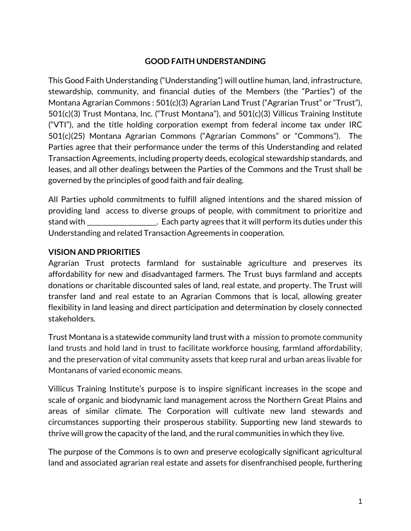#### **GOOD FAITH UNDERSTANDING**

This Good Faith Understanding ("Understanding") will outline human, land, infrastructure, stewardship, community, and financial duties of the Members (the "Parties") of the Montana Agrarian Commons : 501(c)(3) Agrarian Land Trust ("Agrarian Trust" or "Trust"), 501(c)(3) Trust Montana, Inc. ("Trust Montana"), and 501(c)(3) Villicus Training Institute ("VTI"), and the title holding corporation exempt from federal income tax under IRC 501(c)(25) Montana Agrarian Commons ("Agrarian Commons" or "Commons"). The Parties agree that their performance under the terms of this Understanding and related Transaction Agreements, including property deeds, ecological stewardship standards, and leases, and all other dealings between the Parties of the Commons and the Trust shall be governed by the principles of good faith and fair dealing.

All Parties uphold commitments to fulfill aligned intentions and the shared mission of providing land access to diverse groups of people, with commitment to prioritize and stand with **Example 20** . Each party agrees that it will perform its duties under this Understanding and related Transaction Agreements in cooperation.

#### **VISION AND PRIORITIES**

Agrarian Trust protects farmland for sustainable agriculture and preserves its affordability for new and disadvantaged farmers. The Trust buys farmland and accepts donations or charitable discounted sales of land, real estate, and property. The Trust will transfer land and real estate to an Agrarian Commons that is local, allowing greater flexibility in land leasing and direct participation and determination by closely connected stakeholders.

Trust Montana is a statewide community land trust with a mission to promote community land trusts and hold land in trust to facilitate workforce housing, farmland affordability, and the preservation of vital community assets that keep rural and urban areas livable for Montanans of varied economic means.

Villicus Training Institute's purpose is to inspire significant increases in the scope and scale of organic and biodynamic land management across the Northern Great Plains and areas of similar climate. The Corporation will cultivate new land stewards and circumstances supporting their prosperous stability. Supporting new land stewards to thrive will grow the capacity of the land, and the rural communities in which they live.

The purpose of the Commons is to own and preserve ecologically significant agricultural land and associated agrarian real estate and assets for disenfranchised people, furthering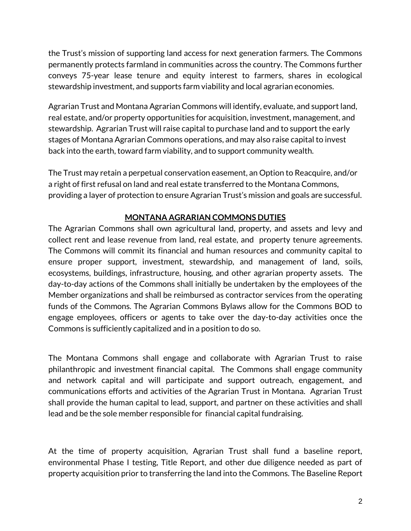the Trust's mission of supporting land access for next generation farmers. The Commons permanently protects farmland in communities across the country. The Commons further conveys 75-year lease tenure and equity interest to farmers, shares in ecological stewardship investment, and supports farm viability and local agrarian economies.

Agrarian Trust and Montana Agrarian Commons will identify, evaluate, and support land, real estate, and/or property opportunities for acquisition, investment, management, and stewardship. Agrarian Trust will raise capital to purchase land and to support the early stages of Montana Agrarian Commons operations, and may also raise capital to invest back into the earth, toward farm viability, and to support community wealth.

The Trust may retain a perpetual conservation easement, an Option to Reacquire, and/or a right of first refusal on land and real estate transferred to the Montana Commons, providing a layer of protection to ensure Agrarian Trust's mission and goals are successful.

## **MONTANA AGRARIAN COMMONS DUTIES**

The Agrarian Commons shall own agricultural land, property, and assets and levy and collect rent and lease revenue from land, real estate, and property tenure agreements. The Commons will commit its financial and human resources and community capital to ensure proper support, investment, stewardship, and management of land, soils, ecosystems, buildings, infrastructure, housing, and other agrarian property assets. The day-to-day actions of the Commons shall initially be undertaken by the employees of the Member organizations and shall be reimbursed as contractor services from the operating funds of the Commons. The Agrarian Commons Bylaws allow for the Commons BOD to engage employees, officers or agents to take over the day-to-day activities once the Commons is sufficiently capitalized and in a position to do so.

The Montana Commons shall engage and collaborate with Agrarian Trust to raise philanthropic and investment financial capital. The Commons shall engage community and network capital and will participate and support outreach, engagement, and communications efforts and activities of the Agrarian Trust in Montana. Agrarian Trust shall provide the human capital to lead, support, and partner on these activities and shall lead and be the sole member responsible for financial capital fundraising.

At the time of property acquisition, Agrarian Trust shall fund a baseline report, environmental Phase I testing, Title Report, and other due diligence needed as part of property acquisition prior to transferring the land into the Commons. The Baseline Report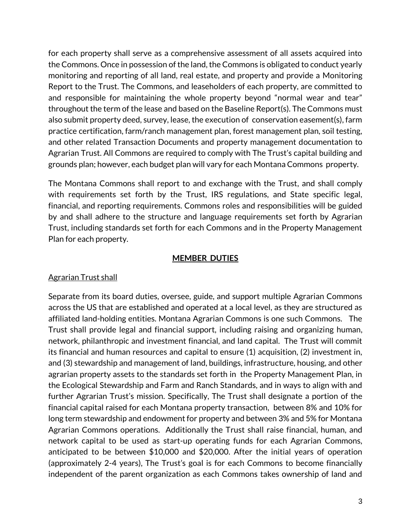for each property shall serve as a comprehensive assessment of all assets acquired into the Commons. Once in possession of the land, the Commons is obligated to conduct yearly monitoring and reporting of all land, real estate, and property and provide a Monitoring Report to the Trust. The Commons, and leaseholders of each property, are committed to and responsible for maintaining the whole property beyond "normal wear and tear" throughout the term of the lease and based on the Baseline Report(s). The Commons must also submit property deed, survey, lease, the execution of conservation easement(s), farm practice certification, farm/ranch management plan, forest management plan, soil testing, and other related Transaction Documents and property management documentation to Agrarian Trust. All Commons are required to comply with The Trust's capital building and grounds plan; however, each budget plan will vary for each Montana Commons property.

The Montana Commons shall report to and exchange with the Trust, and shall comply with requirements set forth by the Trust, IRS regulations, and State specific legal, financial, and reporting requirements. Commons roles and responsibilities will be guided by and shall adhere to the structure and language requirements set forth by Agrarian Trust, including standards set forth for each Commons and in the Property Management Plan for each property.

#### **MEMBER DUTIES**

#### Agrarian Trust shall

Separate from its board duties, oversee, guide, and support multiple Agrarian Commons across the US that are established and operated at a local level, as they are structured as affiliated land-holding entities. Montana Agrarian Commons is one such Commons. The Trust shall provide legal and financial support, including raising and organizing human, network, philanthropic and investment financial, and land capital. The Trust will commit its financial and human resources and capital to ensure (1) acquisition, (2) investment in, and (3) stewardship and management of land, buildings, infrastructure, housing, and other agrarian property assets to the standards set forth in the Property Management Plan, in the Ecological Stewardship and Farm and Ranch Standards, and in ways to align with and further Agrarian Trust's mission. Specifically, The Trust shall designate a portion of the financial capital raised for each Montana property transaction, between 8% and 10% for long term stewardship and endowment for property and between 3% and 5% for Montana Agrarian Commons operations. Additionally the Trust shall raise financial, human, and network capital to be used as start-up operating funds for each Agrarian Commons, anticipated to be between \$10,000 and \$20,000. After the initial years of operation (approximately 2-4 years), The Trust's goal is for each Commons to become financially independent of the parent organization as each Commons takes ownership of land and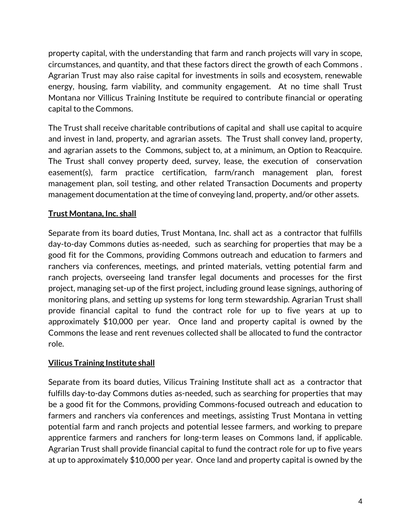property capital, with the understanding that farm and ranch projects will vary in scope, circumstances, and quantity, and that these factors direct the growth of each Commons . Agrarian Trust may also raise capital for investments in soils and ecosystem, renewable energy, housing, farm viability, and community engagement. At no time shall Trust Montana nor Villicus Training Institute be required to contribute financial or operating capital to the Commons.

The Trust shall receive charitable contributions of capital and shall use capital to acquire and invest in land, property, and agrarian assets. The Trust shall convey land, property, and agrarian assets to the Commons, subject to, at a minimum, an Option to Reacquire. The Trust shall convey property deed, survey, lease, the execution of conservation easement(s), farm practice certification, farm/ranch management plan, forest management plan, soil testing, and other related Transaction Documents and property management documentation at the time of conveying land, property, and/or other assets.

## **Trust Montana, Inc. shall**

Separate from its board duties, Trust Montana, Inc. shall act as a contractor that fulfills day-to-day Commons duties as-needed, such as searching for properties that may be a good fit for the Commons, providing Commons outreach and education to farmers and ranchers via conferences, meetings, and printed materials, vetting potential farm and ranch projects, overseeing land transfer legal documents and processes for the first project, managing set-up of the first project, including ground lease signings, authoring of monitoring plans, and setting up systems for long term stewardship. Agrarian Trust shall provide financial capital to fund the contract role for up to five years at up to approximately \$10,000 per year. Once land and property capital is owned by the Commons the lease and rent revenues collected shall be allocated to fund the contractor role.

## **Vilicus Training Institute shall**

Separate from its board duties, Vilicus Training Institute shall act as a contractor that fulfills day-to-day Commons duties as-needed, such as searching for properties that may be a good fit for the Commons, providing Commons-focused outreach and education to farmers and ranchers via conferences and meetings, assisting Trust Montana in vetting potential farm and ranch projects and potential lessee farmers, and working to prepare apprentice farmers and ranchers for long-term leases on Commons land, if applicable. Agrarian Trust shall provide financial capital to fund the contract role for up to five years at up to approximately \$10,000 per year. Once land and property capital is owned by the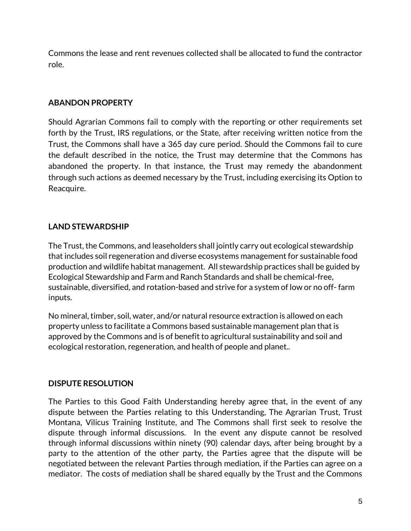Commons the lease and rent revenues collected shall be allocated to fund the contractor role.

#### **ABANDON PROPERTY**

Should Agrarian Commons fail to comply with the reporting or other requirements set forth by the Trust, IRS regulations, or the State, after receiving written notice from the Trust, the Commons shall have a 365 day cure period. Should the Commons fail to cure the default described in the notice, the Trust may determine that the Commons has abandoned the property. In that instance, the Trust may remedy the abandonment through such actions as deemed necessary by the Trust, including exercising its Option to Reacquire.

## **LAND STEWARDSHIP**

The Trust, the Commons, and leaseholders shall jointly carry out ecological stewardship that includes soil regeneration and diverse ecosystems management for sustainable food production and wildlife habitat management. All stewardship practices shall be guided by Ecological Stewardship and Farm and Ranch Standards and shall be chemical-free, sustainable, diversified, and rotation-based and strive for a system of low or no off- farm inputs.

No mineral, timber, soil, water, and/or natural resource extraction is allowed on each property unless to facilitate a Commons based sustainable management plan that is approved by the Commons and is of benefit to agricultural sustainability and soil and ecological restoration, regeneration, and health of people and planet..

## **DISPUTE RESOLUTION**

The Parties to this Good Faith Understanding hereby agree that, in the event of any dispute between the Parties relating to this Understanding, The Agrarian Trust, Trust Montana, Vilicus Training Institute, and The Commons shall first seek to resolve the dispute through informal discussions. In the event any dispute cannot be resolved through informal discussions within ninety (90) calendar days, after being brought by a party to the attention of the other party, the Parties agree that the dispute will be negotiated between the relevant Parties through mediation, if the Parties can agree on a mediator. The costs of mediation shall be shared equally by the Trust and the Commons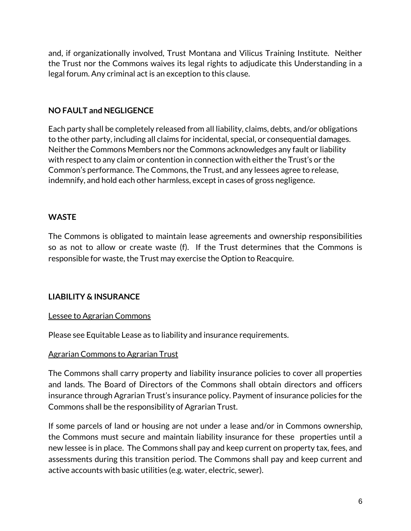and, if organizationally involved, Trust Montana and Vilicus Training Institute. Neither the Trust nor the Commons waives its legal rights to adjudicate this Understanding in a legal forum. Any criminal act is an exception to this clause.

#### **NO FAULT and NEGLIGENCE**

Each party shall be completely released from all liability, claims, debts, and/or obligations to the other party, including all claims for incidental, special, or consequential damages. Neither the Commons Members nor the Commons acknowledges any fault or liability with respect to any claim or contention in connection with either the Trust's or the Common's performance. The Commons, the Trust, and any lessees agree to release, indemnify, and hold each other harmless, except in cases of gross negligence.

## **WASTE**

The Commons is obligated to maintain lease agreements and ownership responsibilities so as not to allow or create waste (f). If the Trust determines that the Commons is responsible for waste, the Trust may exercise the Option to Reacquire.

## **LIABILITY & INSURANCE**

#### Lessee to Agrarian Commons

Please see Equitable Lease as to liability and insurance requirements.

#### Agrarian Commons to Agrarian Trust

The Commons shall carry property and liability insurance policies to cover all properties and lands. The Board of Directors of the Commons shall obtain directors and officers insurance through Agrarian Trust's insurance policy. Payment of insurance policies for the Commons shall be the responsibility of Agrarian Trust.

If some parcels of land or housing are not under a lease and/or in Commons ownership, the Commons must secure and maintain liability insurance for these properties until a new lessee is in place. The Commons shall pay and keep current on property tax, fees, and assessments during this transition period. The Commons shall pay and keep current and active accounts with basic utilities (e.g. water, electric, sewer).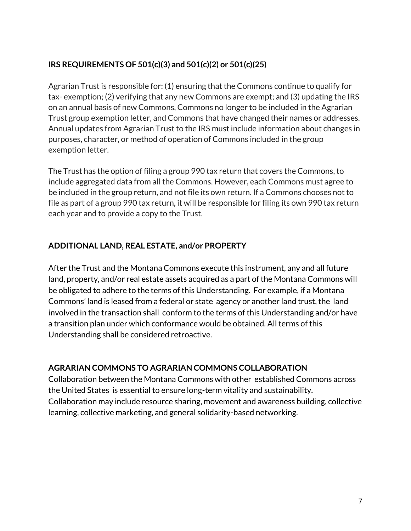# **IRS REQUIREMENTS OF 501(c)(3) and 501(c)(2) or 501(c)(25)**

Agrarian Trust is responsible for: (1) ensuring that the Commons continue to qualify for tax- exemption; (2) verifying that any new Commons are exempt; and (3) updating the IRS on an annual basis of new Commons, Commons no longer to be included in the Agrarian Trust group exemption letter, and Commons that have changed their names or addresses. Annual updates from Agrarian Trust to the IRS must include information about changes in purposes, character, or method of operation of Commons included in the group exemption letter.

The Trust has the option of filing a group 990 tax return that covers the Commons, to include aggregated data from all the Commons. However, each Commons must agree to be included in the group return, and not file its own return. If a Commons chooses not to file as part of a group 990 tax return, it will be responsible for filing its own 990 tax return each year and to provide a copy to the Trust.

# **ADDITIONAL LAND, REAL ESTATE, and/or PROPERTY**

After the Trust and the Montana Commons execute this instrument, any and all future land, property, and/or real estate assets acquired as a part of the Montana Commons will be obligated to adhere to the terms of this Understanding. For example, if a Montana Commons' land is leased from a federal or state agency or another land trust, the land involved in the transaction shall conform to the terms of this Understanding and/or have a transition plan under which conformance would be obtained. All terms of this Understanding shall be considered retroactive.

## **AGRARIAN COMMONS TO AGRARIAN COMMONS COLLABORATION**

Collaboration between the Montana Commons with other established Commons across the United States is essential to ensure long-term vitality and sustainability. Collaboration may include resource sharing, movement and awareness building, collective learning, collective marketing, and general solidarity-based networking.